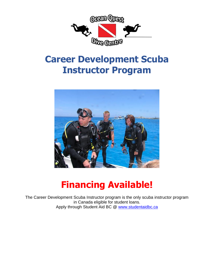

## **Career Development Scuba Instructor Program**



# **Financing Available!**

The Career Development Scuba Instructor program is the only scuba instructor program in Canada eligible for student loans. Apply through Student Aid BC @<www.studentaidbc.ca>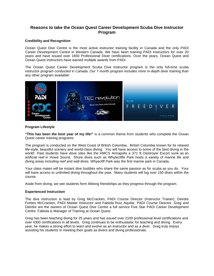### **Reasons to take the Ocean Quest Career Development Scuba Dive Instructor Program**

#### **Credibility and Recognition**

Ocean Quest Dive Centre is the most active instructor training facility in Canada and the only PADI Career Development Centre in Western Canada. We have been training PADI Instructors for over 20 years and have issued over 1650 Professional Diver certifications. Over the years, Ocean Quest and Ocean Quest instructors have earned multiple awards from PADI.

The Ocean Quest Career Development Scuba Dive Instructor program is the only full-time scuba instructor program conducted in Canada. Our 7 month program includes more in-depth diver training than any other program available!



#### **Program Lifestyle**

**"This has been the best year of my life!"** is a common theme from students who complete the Ocean Quest career training programs.

The program is conducted on the West Coast of British Columbia. British Columbia known for its relaxed life-style, beautiful scenery and world-class diving. You will have access to some of the best diving in the world! Past students have dove sites like the HMCS Annapolis a 371 ft. Destroyer Escort sunk as an artificial reef in Howe Sound. Shore dives such as Whytecliffe Park hosts a variety of marine life and diving areas including reef and wall dives. Whyecliff Park was the first marine park in Canada.

Your class mates will be instant dive buddies who share the same passion as for scuba as you do. Your will have access to unlimited diving throughout the year. Many students will log over 150 dives within the course.

Aside from diving, we see students form lifelong friendships as they progress through the program.

#### **Experienced Instruction**

The dive instruction is lead by Greg McCracken, PADI Course Director (Instructor Trainer), Deirdre Forbes McCracken, PADI Master Instructor and Fabiola Ruiz Aquilar, PADI Course Director. Greg and Deirdre are the owners of Ocean Quest Dive Centre a full service Five Star PADI Career Development Centre. Fabiola is Manager of Training at Ocean Quest.

Greg has been teaching diving for 25 years and has issued over 2100 professional level certifications and over 4300 certifications in all levels. Greg continues to be enthusiastic for teaching and diving. Every year, he makes a strong effort to learn and evolve as an instructor and as a diver. Greg truly enjoys assisting his students in meeting their goals as divers and diving professionals.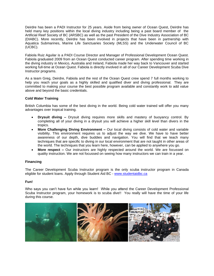Deirdre has been a PADI Instructor for 25 years. Aside from being owner of Ocean Quest, Deirdre has held many key positions within the local diving industry including being a past board member of the Artificial Reef Society of BC (ARSBC) as well as the past President of the Dive Industry Association of BC (DIABC). More recently, Deirdre has been involved in projects that have been in partnership with Aquatica Submarines, Marine Life Sanctuaries Society (MLSS) and the Underwater Council of BC (UCBC).

Fabiola Ruiz Aguilar is a PADI Course Director and Manager of Professional Development Ocean Quest. Fabiola graduated 2009 from an Ocean Quest conducted career program. After spending time working in the diving industry in Mexico, Australia and Ireland, Fabiola made her way back to Vancouver and started working full-time at Ocean Quest. Fabiola is directly involved in all of our Career Development Scuba Dive Instructor programs.

As a team Greg, Deirdre, Fabiola and the rest of the Ocean Quest crew spend 7 full months working to help you reach your goals as a highly skilled and qualified diver and diving professional. They are committed to making your course the best possible program available and constantly work to add value above and beyond the basic credentials.

#### **Cold Water Training**

British Columbia has some of the best diving in the world. Being cold water trained will offer you many advantages over tropical training.

- **Drysuit diving –** Drysuit diving requires more skills and mastery of buoyancy control. By completing all of your diving in a drysuit you will achieve a higher skill level than divers in the tropics.
- **More Challenging Diving Environment –** Our local diving consists of cold water and variable visibility. This environment requires us to adjust the way we dive. We have to have better awareness of our depth, dive buddies and navigation. You will find that we teach many techniques that are specific to diving in our local environment that are not taught in other areas of the world. The techniques that you learn here, however, can be applied to anywhere you go.
- **More respect –** Our instructors are highly respected around the world. We are focussed on quality instruction. We are not focussed on seeing how many instructors we can train in a year.

#### **Financing**

The Career Development Scuba Instructor program is the only scuba instructor program in Canada eligible for student loans. Apply through Student Aid BC - <www.studentaidbc.ca>

#### **Fun!**

Who says you can't have fun while you learn! While you attend the Career Development Professional Scuba Instructor program, your homework is to scuba dive!! You really will have the time of your life during this course.

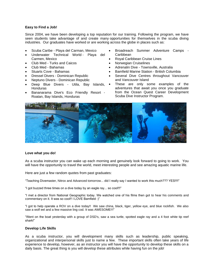#### **Easy to Find a Job!**

Since 2004, we have been developing a top reputation for our training. Following the program, we have seen students take advantage of and create many opportunities for themselves in the scuba diving industries. Our graduates have worked or are working across the globe in places such as:

- Scuba Caribe Playa del Carman, Mexico
- Underwater Technical World Playa del Carmen, Mexico
- Club Med Turks and Caicos
- Club Med Bahamas
- Stuarts Cove Bahamas
- Dressel Divers Dominican Republic
- Neptuno Divers Dominican Republic
- Deep Blue Divers Utila, Bay Islands,  $\bullet$ **Honduras**
- Bananarama Dive's Eco Friendly Resort Roatan, Bay Islands, Honduras
- Broadreach Summer Adventure Camps Caribbean
- Royal Caribbean Cruise Lines
- Norwegian Cruiselines
- Adrenalin Dive Townsville, Australia
- Bamfield Marine Station British Columbia
- Several Dive Centres throughout Vancouver and Vancouver Island
- These are only some examples of the adventures that await you once you graduate from the Ocean Quest Career Development Scuba Dive Instructor Program.



#### **Love what you do!**

As a scuba instructor you can wake up each morning and genuinely look forward to going to work. You will have the opportunity to travel the world, meet interesting people and see amazing aquatic marine life.

Here are just a few random quotes from past graduates:

"Teaching Divemaster, Nitrox and Advanced tomorrow... did I really say I wanted to work this much??? YES!!!!"

"I got buzzed three times on a dive today by an eagle ray... so cool!!!"

"I met a director from National Geographic today. We watched one of his films then got to hear his comments and commentary on it. It was so cool!! I LOVE Bamfield :)"

"I got to help operate a ROV on a dive today!! We saw china, black, tiger, yellow eye, and blue rockfish. We also saw a wolf eel and a few massive ling cod. It was AWESOME!!!"

"Went on the boat yesterday with a group of DSD's, saw a sea turtle, spotted eagle ray and a 4 foot white tip reef shark!"

#### **Develop Life Skills**

As a scuba instructor, you will development many skills such as leadership, public speaking, organizational and interpersonal skills just to name a few. These important skills often take years of life experience to develop, however, as an instructor you will have the opportunity to develop these skills on a daily basis. The great thing is you will develop these attributes while having fun on the job!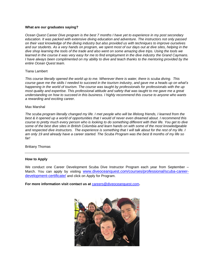#### **What are our graduates saying?**

*Ocean Quest Career Dive program is the best 7 months I have yet to experience in my post secondary education. It was packed with extensive diving education and adventure. The instructors not only passed on their vast knowledge of the diving industry but also provided us with techniques to improve ourselves and our students. As a very hands on program, we spent most of our days out at dive sites, helping in the dive shop learning the tools of the trade and also went on some amazing dive trips. Using the tools we learned in the course it was very easy for me to find employment in the dive industry the Grand Caymans. I have always been complimented on my ability to dive and teach thanks to the mentoring provided by the entire Ocean Quest team.* 

#### Tiana Lambert

*This course literally opened the world up to me. Wherever there is water, there is scuba diving. This course gave me the skills I needed to succeed in the tourism industry, and gave me a heads up on what's happening in the world of tourism. The course was taught by professionals for professionals with the up most quality and expertise. This professional attitude and safety that was taught to me gave me a great understanding on how to succeed in this business. I highly recommend this course to anyone who wants a rewarding and exciting career*.

#### Max Marshal

*The scuba program literally changed my life. I met people who will be lifelong friends, I learned from the best & it opened up a world of opportunities that I would of never even dreamed about. I recommend this course to pretty much every person who is looking to do something different with their life. You get to dive some of the best dive sites in British Columbia and learn hands on with some of the most knowledgeable and respected dive instructors. The experience is something that I will talk about for the rest of my life. I am only 19 and already have a career started. The Scuba Program was the best 8 months of my life so far!* 

Brittany Thomas

#### **How to Apply**

We conduct one Career Development Scuba Dive Instructor Program each year from September – March. You can apply by visiting [www.diveoceanquest.com/courses/professional/scuba-career](http://www.diveoceanquest.com/courses/professional/scuba-career-development-certificate/)[development-certificate/](http://www.diveoceanquest.com/courses/professional/scuba-career-development-certificate/) and click on Apply for Program.

**For more information visit contact us at** [careers@diveoceanquest.com](mailto:careers@diveoceanquest.com)**.**